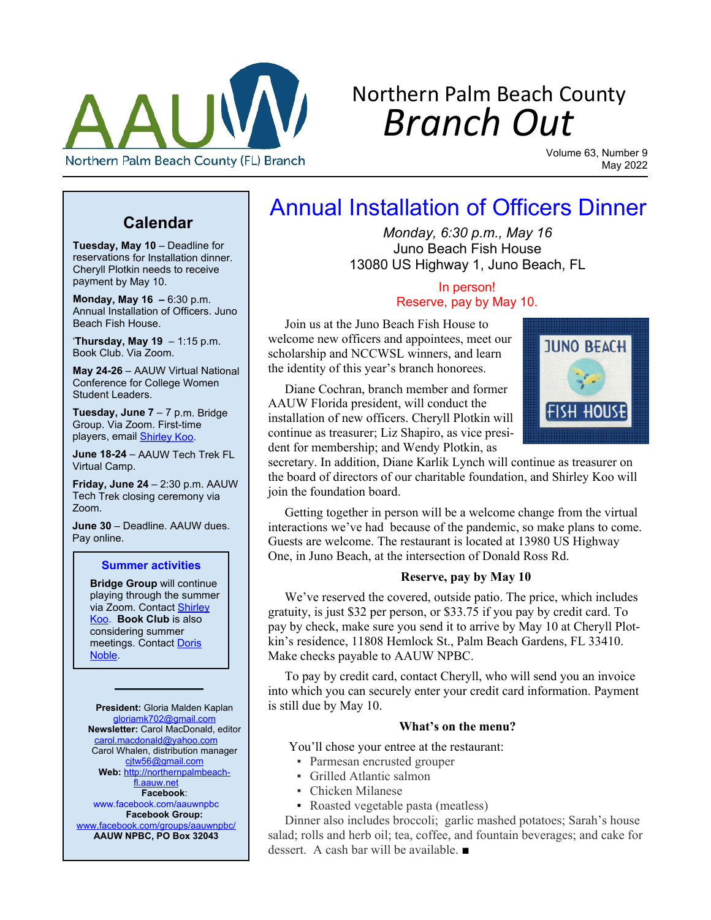

# Northern Palm Beach County *Branch Out*

Volume 63, Number 9 May 2022

# **Calendar**

**Tuesday, May 10** – Deadline for reservations for Installation dinner. Cheryll Plotkin needs to receive payment by May 10.

**Monday, May 16 –** 6:30 p.m. Annual Installation of Officers. Juno Beach Fish House.

'**Thursday, May 19** – 1:15 p.m. Book Club. Via Zoom.

**May 24-26** – AAUW Virtual National Conference for College Women Student Leaders.

**Tuesday, June 7** – 7 p.m. Bridge Group. Via Zoom. First-time players, email [Shirley Koo](mailto:tcccny12@gmail.com).

**June 18-24** – AAUW Tech Trek FL Virtual Camp.

**Friday, June 24** – 2:30 p.m. AAUW Tech Trek closing ceremony via Zoom.

**June 30** – Deadline. AAUW dues. Pay online.

# **Summer activities**

**Bridge Group** will continue playing through the summer via Zoom. Contact [Shirley](mailto:tcccny12@gmail.com) [Koo.](mailto:tcccny12@gmail.com) **Book Club** is also considering summer meetings. Contact [Doris](mailto:dorisnoble20016@yahoo.com) [Noble](mailto:dorisnoble20016@yahoo.com).

**President:** Gloria Malden Kaplan [gloriamk702@gmail.com](mailto:gloriamk702@gmail.com) **Newsletter:** Carol MacDonald, editor [carol.macdonald@yahoo.com](mailto:carol.macdonald@yahoo.com) Carol Whalen, distribution manager [cjtw56@gmail.com](mailto:cjtw56@gmail.com) **Web:** [http://northernpalmbeach](http://northernpalmbeach-fl.aauw.net)[fl.aauw.net](http://northernpalmbeach-fl.aauw.net) **Facebook**[:](www.facebook.com/aauwnpbc) <www.facebook.com/aauwnpbc>

**Facebook Group:** <www.facebook.com/groups/aauwnpbc/> **AAUW NPBC, PO Box 32043**

# Annual Installation of Officers Dinner

*Monday, 6:30 p.m., May 16* Juno Beach Fish House 13080 US Highway 1, Juno Beach, FL

# In person! Reserve, pay by May 10.

Join us at the Juno Beach Fish House to welcome new officers and appointees, meet our scholarship and NCCWSL winners, and learn the identity of this year's branch honorees.

Diane Cochran, branch member and former AAUW Florida president, will conduct the installation of new officers. Cheryll Plotkin will continue as treasurer; Liz Shapiro, as vice president for membership; and Wendy Plotkin, as



secretary. In addition, Diane Karlik Lynch will continue as treasurer on the board of directors of our charitable foundation, and Shirley Koo will join the foundation board.

Getting together in person will be a welcome change from the virtual interactions we've had because of the pandemic, so make plans to come. Guests are welcome. The restaurant is located at 13980 US Highway One, in Juno Beach, at the intersection of Donald Ross Rd.

# **Reserve, pay by May 10**

We've reserved the covered, outside patio. The price, which includes gratuity, is just \$32 per person, or \$33.75 if you pay by credit card. To pay by check, make sure you send it to arrive by May 10 at Cheryll Plotkin's residence, 11808 Hemlock St., Palm Beach Gardens, FL 33410. Make checks payable to AAUW NPBC.

To pay by credit card, contact Cheryll, who will send you an invoice into which you can securely enter your credit card information. Payment is still due by May 10.

# **What's on the menu?**

You'll chose your entree at the restaurant:

- Parmesan encrusted grouper
- Grilled Atlantic salmon
- Chicken Milanese
- Roasted vegetable pasta (meatless)

Dinner also includes broccoli; garlic mashed potatoes; Sarah's house salad; rolls and herb oil; tea, coffee, and fountain beverages; and cake for dessert. A cash bar will be available. *■*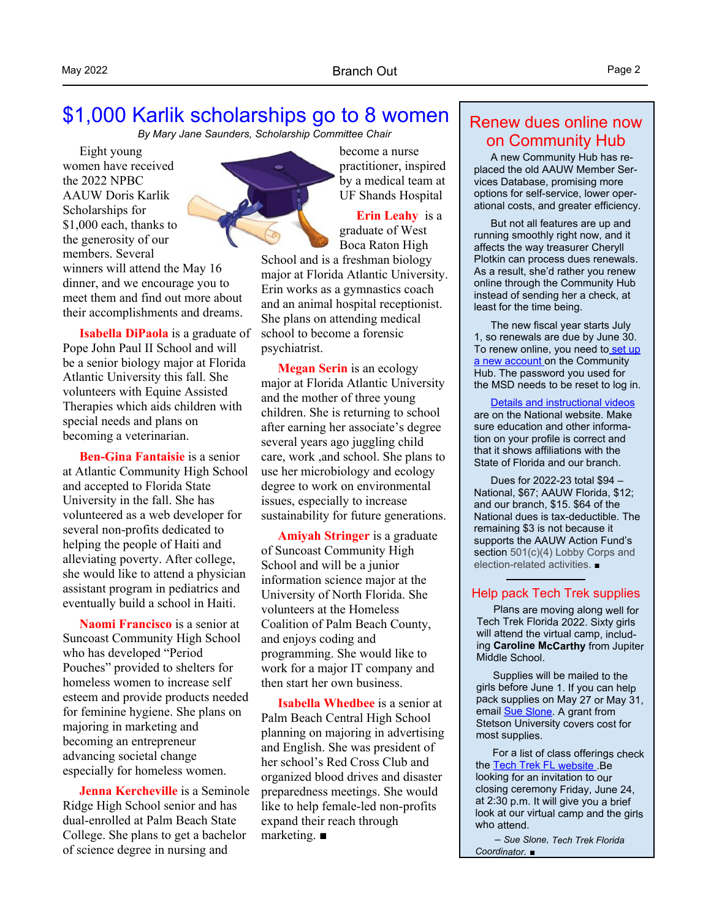# \$1,000 Karlik scholarships go to 8 women

*By Mary Jane Saunders, Scholarship Committee Chair*

Eight young women have received the 2022 NPBC AAUW Doris Karlik Scholarships for \$1,000 each, thanks to the generosity of our members. Several winners will attend the May 16 dinner, and we encourage you to meet them and find out more about their accomplishments and dreams.

**Isabella DiPaola** is a graduate of Pope John Paul II School and will be a senior biology major at Florida Atlantic University this fall. She volunteers with Equine Assisted Therapies which aids children with special needs and plans on becoming a veterinarian.

**Ben-Gina Fantaisie** is a senior at Atlantic Community High School and accepted to Florida State University in the fall. She has volunteered as a web developer for several non-profits dedicated to helping the people of Haiti and alleviating poverty. After college, she would like to attend a physician assistant program in pediatrics and eventually build a school in Haiti.

**Naomi Francisco** is a senior at Suncoast Community High School who has developed "Period Pouches" provided to shelters for homeless women to increase self esteem and provide products needed for feminine hygiene. She plans on majoring in marketing and becoming an entrepreneur advancing societal change especially for homeless women.

**Jenna Kercheville** is a Seminole Ridge High School senior and has dual-enrolled at Palm Beach State College. She plans to get a bachelor of science degree in nursing and



become a nurse practitioner, inspired by a medical team at UF Shands Hospital

**Erin Leahy** is a graduate of West Boca Raton High

School and is a freshman biology major at Florida Atlantic University. Erin works as a gymnastics coach and an animal hospital receptionist. She plans on attending medical school to become a forensic psychiatrist.

**Megan Serin** is an ecology major at Florida Atlantic University and the mother of three young children. She is returning to school after earning her associate's degree several years ago juggling child care, work ,and school. She plans to use her microbiology and ecology degree to work on environmental issues, especially to increase sustainability for future generations.

**Amiyah Stringer** is a graduate of Suncoast Community High School and will be a junior information science major at the University of North Florida. She volunteers at the Homeless Coalition of Palm Beach County, and enjoys coding and programming. She would like to work for a major IT company and then start her own business.

**Isabella Whedbee** is a senior at Palm Beach Central High School planning on majoring in advertising and English. She was president of her school's Red Cross Club and organized blood drives and disaster preparedness meetings. She would like to help female-led non-profits expand their reach through marketing. *■*

# Renew dues online now on Community Hub

A new Community Hub has replaced the old AAUW Member Services Database, promising more options for self-service, lower operational costs, and greater efficiency.

But not all features are up and running smoothly right now, and it affects the way treasurer Cheryll Plotkin can process dues renewals. As a result, she'd rather you renew online through the Community Hub instead of sending her a check, at least for the time being.

The new fiscal year starts July 1, so renewals are due by June 30. To renew online, you need to [set up](https://my.aauw.org/NC__Login?startURL=%2Fonlinejoin) [a new account](https://my.aauw.org/NC__Login?startURL=%2Fonlinejoin) on the Community Hub. The password you used for the MSD needs to be reset to log in.

[Details and instructional videos](https://www.aauw.org/membership/new-systems-update/) are on the National website. Make sure education and other information on your profile is correct and that it shows affiliations with the State of Florida and our branch.

Dues for 2022-23 total \$94 – National, \$67; AAUW Florida, \$12; and our branch, \$15. \$64 of the National dues is tax-deductible. The remaining \$3 is not because it supports the AAUW Action Fund's section  $501(c)(4)$  Lobby Corps and election-related activities. *■*

# Help pack Tech Trek supplies

Plans are moving along well for Tech Trek Florida 2022. Sixty girls will attend the virtual camp, including **Caroline McCarthy** from Jupiter Middle School.

Supplies will be mailed to the girls before June 1. If you can help pack supplies on May 27 or May 31, email **Sue Slone**. A grant from Stetson University covers cost for most supplies.

For a list of class offerings check the **Tech Trek FL website** .Be looking for an invitation to our closing ceremony Friday, June 24, at 2:30 p.m. It will give you a brief look at our virtual camp and the girls who attend.

*– Sue Slone, Tech Trek Florida Coordinator. ■*